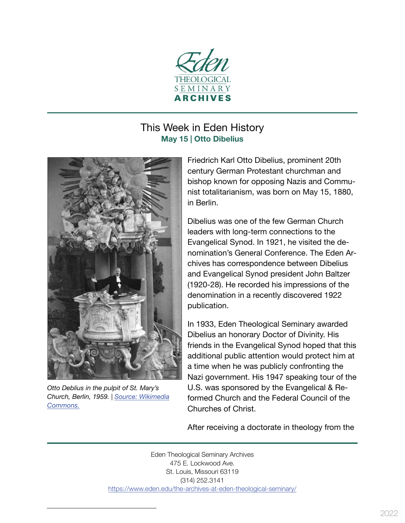

## This Week in Eden History **May 15 | Otto Dibelius**

<span id="page-0-0"></span>

*Otto Deblius in the pulpit of St. Mary's Church, Berlin, 1959. | [Source: Wikimedia](https://commons.wikimedia.org/wiki/File:Bundesarchiv_Bild_183-68558-0013,_Berlin,_Marienkirche,_Dibelius-Rede.jpg) [Commons.](https://commons.wikimedia.org/wiki/File:Bundesarchiv_Bild_183-68558-0013,_Berlin,_Marienkirche,_Dibelius-Rede.jpg)*

Friedrich Karl Otto Dibelius, prominent 20th century German Protestant churchman and bishop known for opposing Nazis and Commu‐ nist totalitarianism, was born on May 15, 1880, in Berlin.

Dibelius was one of the few German Church leaders with long-term connections to the Evangelical Synod. In 1921, he visited the de‐ nomination's General Conference. The Eden Ar‐ chives has correspondence between Dibelius and Evangelical Synod president John Baltzer (1920-28). He recorded his impressions of the denomination in a recently discovered 1922 publication.

In 1933, Eden Theological Seminary awarded Dibelius an honorary Doctor of Divinity. His friends in the Evangelical Synod hoped that this additional public attention would protect him at a time when he was publicly confronting the Nazi government. His 1947 speaking tour of the U.S. was sponsored by the Evangelical & Re‐ formed Church and the Federal Council of the Churches of Christ.

After receiving a doctorate in theology from the

Eden Theological Seminary Archives 475 E. Lockwood Ave. St. Louis, Missouri 63119 (314) 252.3141 https://www.eden.edu/the-archives-at-eden-theological-seminary/